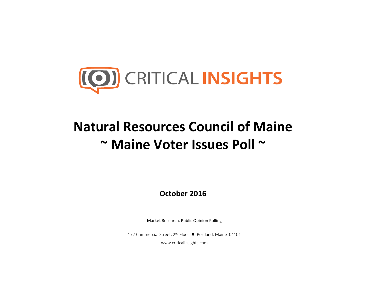

## **Natural Resources Council of Maine~ Maine Voter Issues Poll <sup>~</sup>**

**October 2016**

Market Research, Public Opinion Polling

172 Commercial Street, 2<sup>nd</sup> Floor ♦ Portland, Maine 04101

www.criticalinsights.com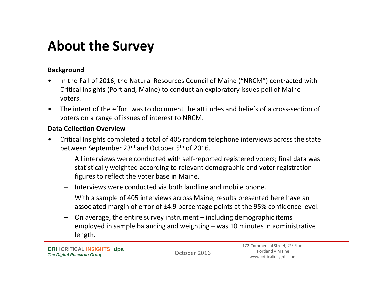### **About the Survey**

#### **Background**

- • In the Fall of 2016, the Natural Resources Council of Maine ("NRCM") contracted with Critical Insights (Portland, Maine) to conduct an exploratory issues poll of Maine voters.
- $\bullet$  The intent of the effort was to document the attitudes and beliefs of <sup>a</sup> cross‐section of voters on <sup>a</sup> range of issues of interest to NRCM.

#### **Data Collection Overview**

- • Critical Insights completed <sup>a</sup> total of 405 random telephone interviews across the state between September 23<sup>rd</sup> and October 5<sup>th</sup> of 2016.
	- All interviews were conducted with self‐reported registered voters; final data was statistically weighted according to relevant demographic and voter registration figures to reflect the voter base in Maine.
	- Interviews were conducted via both landline and mobile phone.
	- With <sup>a</sup> sample of 405 interviews across Maine, results presented here have an associated margin of error of ±4.9 percentage points at the 95% confidence level.
	- On average, the entire survey instrument including demographic items employed in sample balancing and weighting – was 10 minutes in administrative length.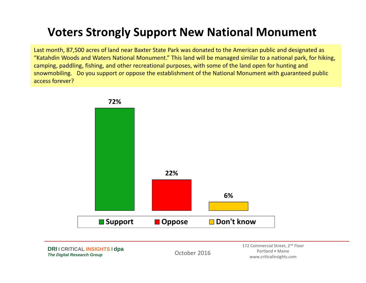### **Voters Strongly Support New National Monument**

Last month, 87,500 acres of land near Baxter State Park was donated to the American public and designated as "Katahdin Woods and Waters National Monument." This land will be managed similar to <sup>a</sup> national park, for hiking, camping, paddling, fishing, and other recreational purposes, with some of the land open for hunting and snowmobiling. Do you support or oppose the establishment of the National Monument with guaranteed public access forever?



**DRI I CRITICAL INSIGHTS I dpa**  *The Digital Research Group*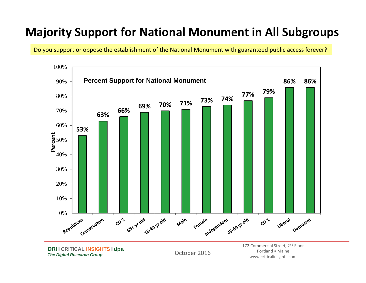#### **Majority Support for National Monument in All Subgroups**

Do you support or oppose the establishment of the National Monument with guaranteed public access forever?



**DRI I CRITICAL INSIGHTS I dpa**  *The Digital Research Group*

October 2016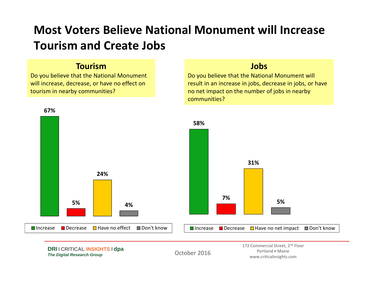### **Most Voters Believe National Monument will Increase Tourism and Create Jobs**

#### **Tourism**

Do you believe that the National Monument will increase, decrease, or have no effect on tourism in nearby communities?

#### **Jobs**

Do you believe that the National Monument will result in an increase in jobs, decrease in jobs, or have no net impact on the number of jobs in nearby communities?

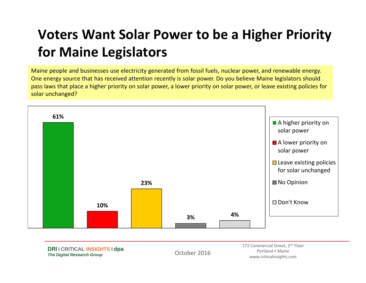# **Voters Want Solar Power to be <sup>a</sup> Higher Priority for Maine Legislators**

Maine people and businesses use electricity generated from fossil fuels, nuclear power, and renewable energy. One energy source that has received attention recently is solar power. Do you believe Maine legislators should pass laws that place <sup>a</sup> higher priority on solar power, <sup>a</sup> lower priority on solar power, or leave existing policies for solar unchanged?

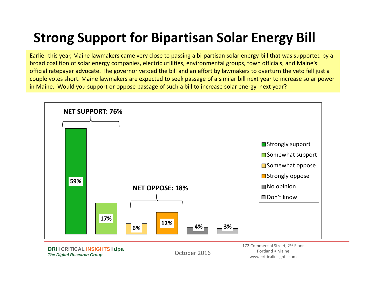# **Strong Support for Bipartisan Solar Energy Bill**

Earlier this year, Maine lawmakers came very close to passing <sup>a</sup> bi‐partisan solar energy bill that was supported by <sup>a</sup> broad coalition of solar energy companies, electric utilities, environmental groups, town officials, and Maine's official ratepayer advocate. The governor vetoed the bill and an effort by lawmakers to overturn the veto fell just <sup>a</sup> couple votes short. Maine lawmakers are expected to seek passage of <sup>a</sup> similar bill next year to increase solar power in Maine. Would you support or oppose passage of such <sup>a</sup> bill to increase solar energy next year?



**DRI I CRITICAL INSIGHTS I dpa**  *The Digital Research Group*

October 2016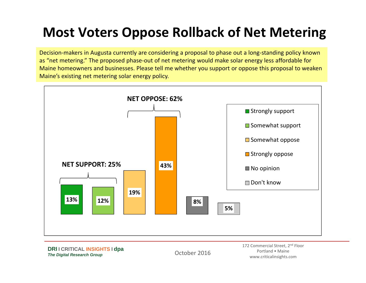## **Most Voters Oppose Rollback of Net Metering**

Decision‐makers in Augusta currently are considering <sup>a</sup> proposal to phase out <sup>a</sup> long‐standing policy known as "net metering." The proposed phase‐out of net metering would make solar energy less affordable for Maine homeowners and businesses. Please tell me whether you support or oppose this proposal to weaken Maine's existing net metering solar energy policy.



**DRI I CRITICAL INSIGHTS I dpa**  *The Digital Research Group*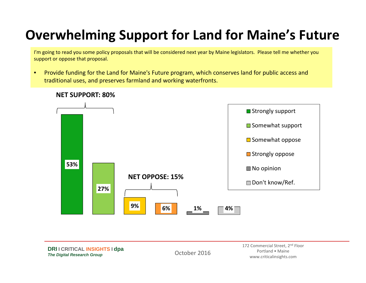## **Overwhelming Support for Land for Maine's Future**

I'm going to read you some policy proposals that will be considered next year by Maine legislators. Please tell me whether you support or oppose that proposal.

• Provide funding for the Land for Maine's Future program, which conserves land for public access and traditional uses, and preserves farmland and working waterfronts.

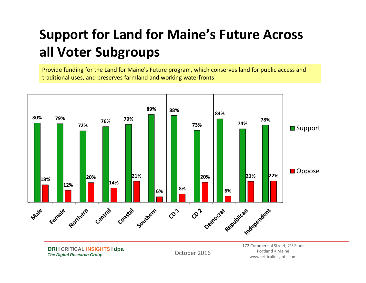# **Support for Land for Maine's Future Across all Voter Subgroups**

Provide funding for the Land for Maine's Future program, which conserves land for public access and traditional uses, and preserves farmland and working waterfronts



**DRI I CRITICAL INSIGHTS I dpa**  *The Digital Research Group*

October 2016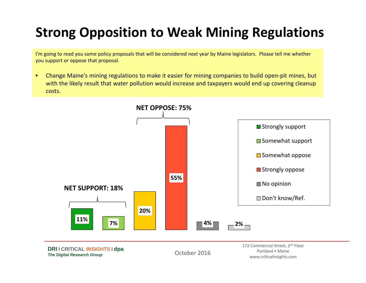# **Strong Opposition to Weak Mining Regulations**

I'm going to read you some policy proposals that will be considered next year by Maine legislators. Please tell me whether you support or oppose that proposal.

• Change Maine's mining regulations to make it easier for mining companies to build open‐pit mines, but with the likely result that water pollution would increase and taxpayers would end up covering cleanup costs.

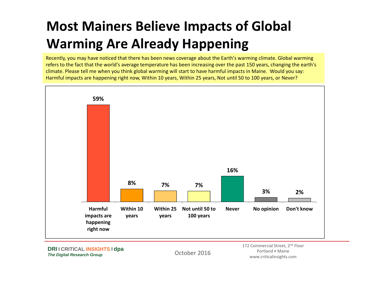# **Most Mainers Believe Impacts of Global Warming Are Already Happening**

Recently, you may have noticed that there has been news coverage about the Earth's warming climate. Global warming refers to the fact that the world's average temperature has been increasing over the past 150 years, changing the earth's climate. Please tell me when you think global warming will start to have harmful impacts in Maine. Would you say: Harmful impacts are happening right now, Within 10 years, Within 25 years, Not until 50 to 100 years, or Never?



**DRI I CRITICAL INSIGHTS I dpa**  *The Digital Research Group*

October 2016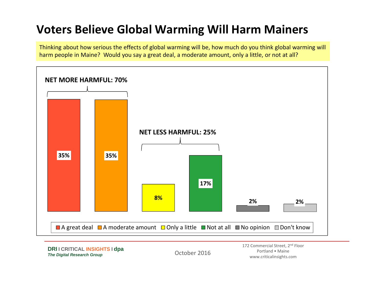### **Voters Believe Global Warming Will Harm Mainers**

Thinking about how serious the effects of global warming will be, how much do you think global warming will harm people in Maine? Would you say <sup>a</sup> great deal, <sup>a</sup> moderate amount, only <sup>a</sup> little, or not at all?

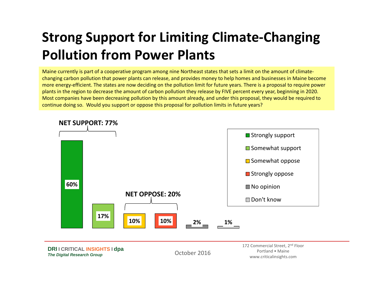# **Strong Support for Limiting Climate‐Changing Pollution from Power Plants**

Maine currently is part of <sup>a</sup> cooperative program among nine Northeast states that sets <sup>a</sup> limit on the amount of climate‐ changing carbon pollution that power plants can release, and provides money to help homes and businesses in Maine become more energy‐efficient. The states are now deciding on the pollution limit for future years. There is <sup>a</sup> proposal to require power plants in the region to decrease the amount of carbon pollution they release by FIVE percent every year, beginning in 2020. Most companies have been decreasing pollution by this amount already, and under this proposal, they would be required to continue doing so. Would you support or oppose this proposal for pollution limits in future years?



#### **NET SUPPORT: 77%**

**DRI I CRITICAL INSIGHTS I dpa**  *The Digital Research Group*

October 2016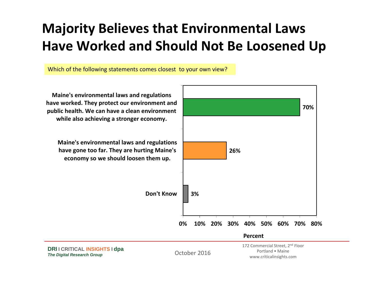# **Majority Believes that Environmental Laws Have Worked and Should Not Be Loosened Up**

Which of the following statements comes closest to your own view?

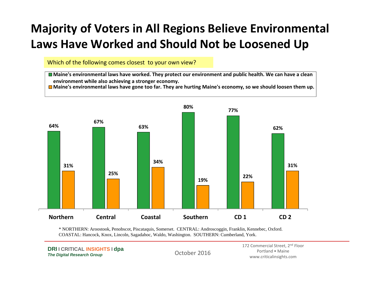### **Majority of Voters in All Regions Believe Environmental Laws Have Worked and Should Not be Loosened Up**

Which of the following comes closest to your own view?

Maine's environmental laws have worked. They protect our environment and public health. We can have a clean **environment while also achieving <sup>a</sup> stronger economy.**

Maine's environmental laws have gone too far. They are hurting Maine's economy, so we should loosen them up.



\* NORTHERN: Aroostook, Penobscot, Piscataquis, Somerset. CENTRAL: Androscoggin, Franklin, Kennebec, Oxford. COASTAL: Hancock, Knox, Lincoln, Sagadahoc, Waldo, Washington. SOUTHERN: Cumberland, York.

**DRI I CRITICAL INSIGHTS I dpa**  *The Digital Research Group*

October 2016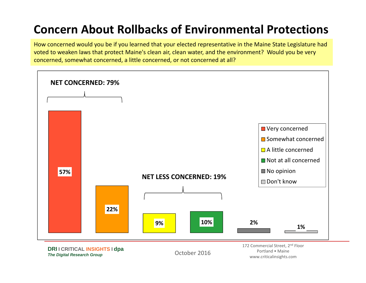### **Concern About Rollbacks of Environmental Protections**

How concerned would you be if you learned that your elected representative in the Maine State Legislature had voted to weaken laws that protect Maine's clean air, clean water, and the environment? Would you be very concerned, somewhat concerned, <sup>a</sup> little concerned, or not concerned at all?

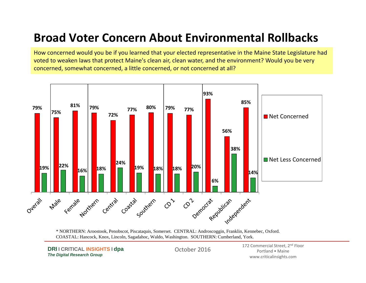### **Broad Voter Concern About Environmental Rollbacks**

How concerned would you be if you learned that your elected representative in the Maine State Legislature had voted to weaken laws that protect Maine's clean air, clean water, and the environment? Would you be very concerned, somewhat concerned, <sup>a</sup> little concerned, or not concerned at all?



\* NORTHERN: Aroostook, Penobscot, Piscataquis, Somerset. CENTRAL: Androscoggin, Franklin, Kennebec, Oxford. COASTAL: Hancock, Knox, Lincoln, Sagadahoc, Waldo, Washington. SOUTHERN: Cumberland, York.

**DRI I CRITICAL INSIGHTS I dpa**  *The Digital Research Group*

October 2016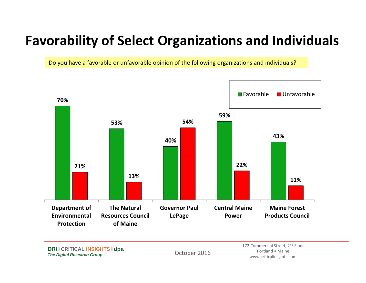# **Favorability of Select Organizations and Individuals**

Do you have <sup>a</sup> favorable or unfavorable opinion of the following organizations and individuals?